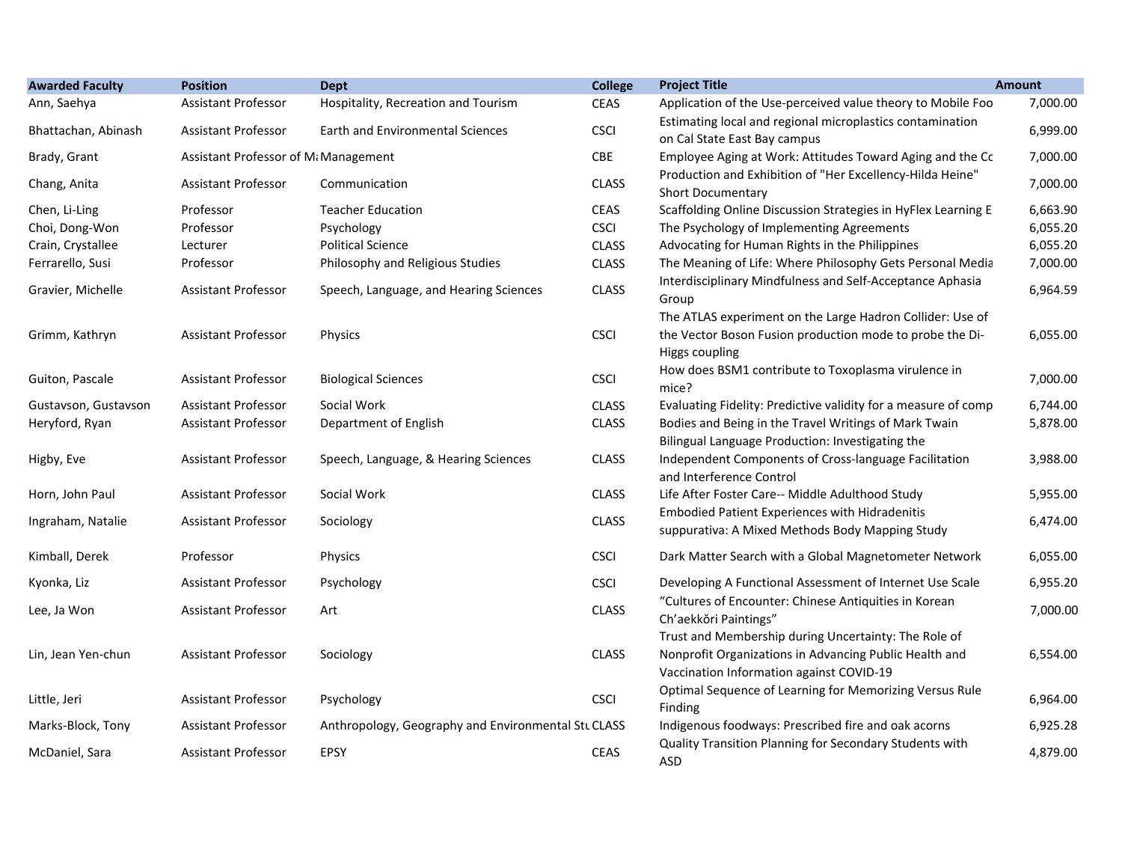| <b>Awarded Faculty</b> | <b>Position</b>                      | <b>Dept</b>                                         | <b>College</b> | <b>Project Title</b>                                                                                                                                       | <b>Amount</b> |
|------------------------|--------------------------------------|-----------------------------------------------------|----------------|------------------------------------------------------------------------------------------------------------------------------------------------------------|---------------|
| Ann, Saehya            | <b>Assistant Professor</b>           | Hospitality, Recreation and Tourism                 | <b>CEAS</b>    | Application of the Use-perceived value theory to Mobile Foo                                                                                                | 7,000.00      |
| Bhattachan, Abinash    | <b>Assistant Professor</b>           | Earth and Environmental Sciences                    | <b>CSCI</b>    | Estimating local and regional microplastics contamination<br>on Cal State East Bay campus                                                                  | 6,999.00      |
| Brady, Grant           | Assistant Professor of Mi Management |                                                     | CBE            | Employee Aging at Work: Attitudes Toward Aging and the Cc                                                                                                  | 7,000.00      |
| Chang, Anita           | <b>Assistant Professor</b>           | Communication                                       | <b>CLASS</b>   | Production and Exhibition of "Her Excellency-Hilda Heine"<br><b>Short Documentary</b>                                                                      | 7,000.00      |
| Chen, Li-Ling          | Professor                            | <b>Teacher Education</b>                            | <b>CEAS</b>    | Scaffolding Online Discussion Strategies in HyFlex Learning E                                                                                              | 6,663.90      |
| Choi, Dong-Won         | Professor                            | Psychology                                          | <b>CSCI</b>    | The Psychology of Implementing Agreements                                                                                                                  | 6,055.20      |
| Crain, Crystallee      | Lecturer                             | <b>Political Science</b>                            | <b>CLASS</b>   | Advocating for Human Rights in the Philippines                                                                                                             | 6,055.20      |
| Ferrarello, Susi       | Professor                            | Philosophy and Religious Studies                    | <b>CLASS</b>   | The Meaning of Life: Where Philosophy Gets Personal Media                                                                                                  | 7,000.00      |
| Gravier, Michelle      | <b>Assistant Professor</b>           | Speech, Language, and Hearing Sciences              | <b>CLASS</b>   | Interdisciplinary Mindfulness and Self-Acceptance Aphasia<br>Group                                                                                         | 6,964.59      |
| Grimm, Kathryn         | <b>Assistant Professor</b>           | Physics                                             | <b>CSCI</b>    | The ATLAS experiment on the Large Hadron Collider: Use of<br>the Vector Boson Fusion production mode to probe the Di-<br>Higgs coupling                    | 6,055.00      |
| Guiton, Pascale        | Assistant Professor                  | <b>Biological Sciences</b>                          | <b>CSCI</b>    | How does BSM1 contribute to Toxoplasma virulence in<br>mice?                                                                                               | 7,000.00      |
| Gustavson, Gustavson   | <b>Assistant Professor</b>           | Social Work                                         | <b>CLASS</b>   | Evaluating Fidelity: Predictive validity for a measure of comp                                                                                             | 6,744.00      |
| Heryford, Ryan         | <b>Assistant Professor</b>           | Department of English                               | <b>CLASS</b>   | Bodies and Being in the Travel Writings of Mark Twain<br>Bilingual Language Production: Investigating the                                                  | 5,878.00      |
| Higby, Eve             | Assistant Professor                  | Speech, Language, & Hearing Sciences                | <b>CLASS</b>   | Independent Components of Cross-language Facilitation<br>and Interference Control                                                                          | 3,988.00      |
| Horn, John Paul        | <b>Assistant Professor</b>           | Social Work                                         | <b>CLASS</b>   | Life After Foster Care-- Middle Adulthood Study                                                                                                            | 5,955.00      |
| Ingraham, Natalie      | <b>Assistant Professor</b>           | Sociology                                           | <b>CLASS</b>   | <b>Embodied Patient Experiences with Hidradenitis</b><br>suppurativa: A Mixed Methods Body Mapping Study                                                   | 6,474.00      |
| Kimball, Derek         | Professor                            | Physics                                             | <b>CSCI</b>    | Dark Matter Search with a Global Magnetometer Network                                                                                                      | 6,055.00      |
| Kyonka, Liz            | <b>Assistant Professor</b>           | Psychology                                          | <b>CSCI</b>    | Developing A Functional Assessment of Internet Use Scale                                                                                                   | 6,955.20      |
| Lee, Ja Won            | Assistant Professor                  | Art                                                 | <b>CLASS</b>   | "Cultures of Encounter: Chinese Antiquities in Korean<br>Ch'aekkŏri Paintings"                                                                             | 7,000.00      |
| Lin, Jean Yen-chun     | <b>Assistant Professor</b>           | Sociology                                           | <b>CLASS</b>   | Trust and Membership during Uncertainty: The Role of<br>Nonprofit Organizations in Advancing Public Health and<br>Vaccination Information against COVID-19 | 6,554.00      |
| Little, Jeri           | <b>Assistant Professor</b>           | Psychology                                          | <b>CSCI</b>    | Optimal Sequence of Learning for Memorizing Versus Rule<br>Finding                                                                                         | 6,964.00      |
| Marks-Block, Tony      | <b>Assistant Professor</b>           | Anthropology, Geography and Environmental Stu CLASS |                | Indigenous foodways: Prescribed fire and oak acorns                                                                                                        | 6,925.28      |
| McDaniel, Sara         | <b>Assistant Professor</b>           | <b>EPSY</b>                                         | <b>CEAS</b>    | Quality Transition Planning for Secondary Students with<br>ASD                                                                                             | 4,879.00      |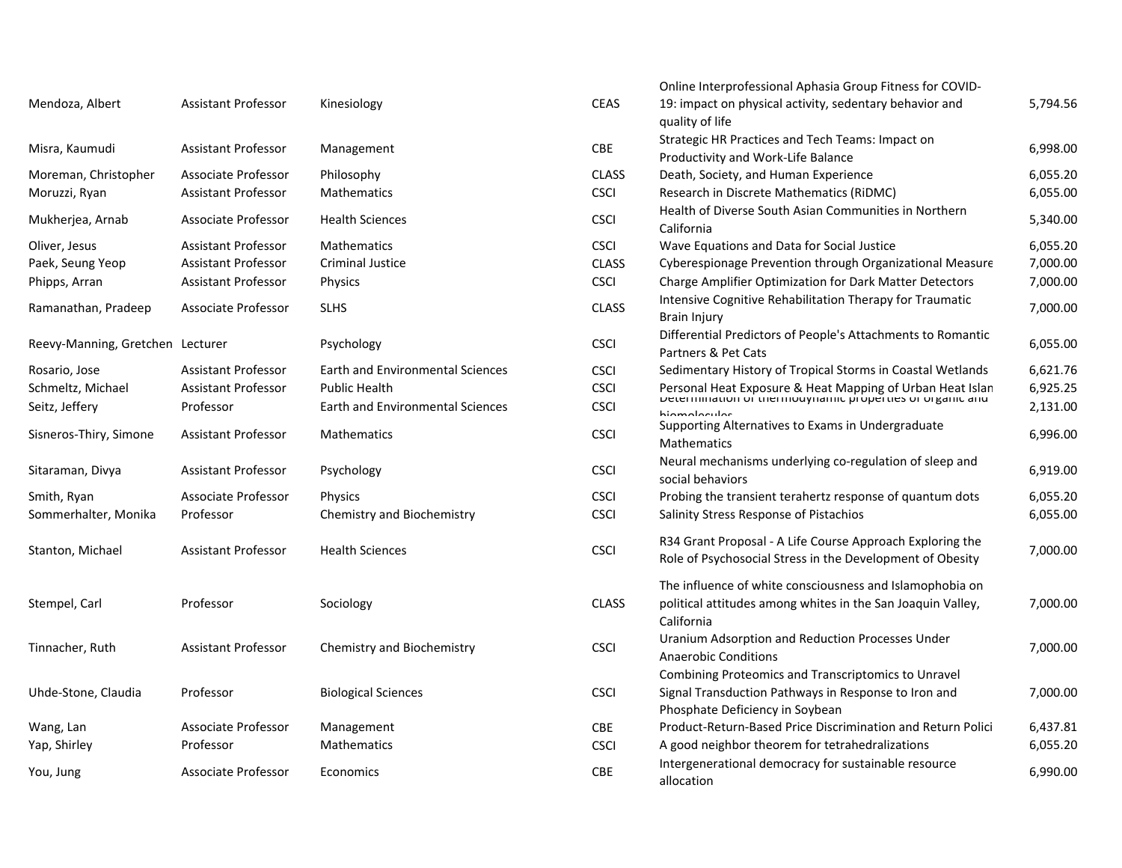| Mendoza, Albert                  | <b>Assistant Professor</b> | Kinesiology                             | <b>CEAS</b>  | 19: impact on physical activity, sedentary behavior and<br>quality of life                                             | 5,794.56 |
|----------------------------------|----------------------------|-----------------------------------------|--------------|------------------------------------------------------------------------------------------------------------------------|----------|
| Misra, Kaumudi                   | Assistant Professor        | Management                              | CBE          | Strategic HR Practices and Tech Teams: Impact on<br>Productivity and Work-Life Balance                                 | 6,998.00 |
| Moreman, Christopher             | Associate Professor        | Philosophy                              | <b>CLASS</b> | Death, Society, and Human Experience                                                                                   | 6,055.20 |
| Moruzzi, Ryan                    | <b>Assistant Professor</b> | Mathematics                             | <b>CSCI</b>  | Research in Discrete Mathematics (RiDMC)                                                                               | 6,055.00 |
| Mukherjea, Arnab                 | Associate Professor        | <b>Health Sciences</b>                  | <b>CSCI</b>  | Health of Diverse South Asian Communities in Northern<br>California                                                    | 5,340.00 |
| Oliver, Jesus                    | <b>Assistant Professor</b> | <b>Mathematics</b>                      | <b>CSCI</b>  | Wave Equations and Data for Social Justice                                                                             | 6,055.20 |
| Paek, Seung Yeop                 | <b>Assistant Professor</b> | Criminal Justice                        | <b>CLASS</b> | Cyberespionage Prevention through Organizational Measure                                                               | 7,000.00 |
| Phipps, Arran                    | <b>Assistant Professor</b> | <b>Physics</b>                          | <b>CSCI</b>  | Charge Amplifier Optimization for Dark Matter Detectors                                                                | 7,000.00 |
| Ramanathan, Pradeep              | Associate Professor        | <b>SLHS</b>                             | <b>CLASS</b> | Intensive Cognitive Rehabilitation Therapy for Traumatic<br><b>Brain Injury</b>                                        | 7,000.00 |
| Reevy-Manning, Gretchen Lecturer |                            | Psychology                              | <b>CSCI</b>  | Differential Predictors of People's Attachments to Romantic<br>Partners & Pet Cats                                     | 6,055.00 |
| Rosario, Jose                    | <b>Assistant Professor</b> | <b>Earth and Environmental Sciences</b> | <b>CSCI</b>  | Sedimentary History of Tropical Storms in Coastal Wetlands                                                             | 6,621.76 |
| Schmeltz, Michael                | <b>Assistant Professor</b> | <b>Public Health</b>                    | <b>CSCI</b>  | Personal Heat Exposure & Heat Mapping of Urban Heat Islan<br>Determination of thermodynamic properties or organic and  | 6,925.25 |
| Seitz, Jeffery                   | Professor                  | <b>Earth and Environmental Sciences</b> | <b>CSCI</b>  |                                                                                                                        | 2,131.00 |
| Sisneros-Thiry, Simone           | <b>Assistant Professor</b> | <b>Mathematics</b>                      | <b>CSCI</b>  | hiamalacular<br>Supporting Alternatives to Exams in Undergraduate<br><b>Mathematics</b>                                | 6,996.00 |
| Sitaraman, Divya                 | <b>Assistant Professor</b> | Psychology                              | <b>CSCI</b>  | Neural mechanisms underlying co-regulation of sleep and<br>social behaviors                                            | 6,919.00 |
| Smith, Ryan                      | Associate Professor        | <b>Physics</b>                          | <b>CSCI</b>  | Probing the transient terahertz response of quantum dots                                                               | 6,055.20 |
| Sommerhalter, Monika             | Professor                  | Chemistry and Biochemistry              | <b>CSCI</b>  | Salinity Stress Response of Pistachios                                                                                 | 6,055.00 |
| Stanton, Michael                 | Assistant Professor        | <b>Health Sciences</b>                  | <b>CSCI</b>  | R34 Grant Proposal - A Life Course Approach Exploring the<br>Role of Psychosocial Stress in the Development of Obesity | 7,000.00 |
|                                  |                            |                                         |              | The influence of white consciousness and Islamophobia on                                                               |          |
| Stempel, Carl                    | Professor                  | Sociology                               | <b>CLASS</b> | political attitudes among whites in the San Joaquin Valley,<br>California                                              | 7,000.00 |
| Tinnacher, Ruth                  | <b>Assistant Professor</b> | Chemistry and Biochemistry              | <b>CSCI</b>  | Uranium Adsorption and Reduction Processes Under<br><b>Anaerobic Conditions</b>                                        | 7,000.00 |
|                                  |                            |                                         |              | Combining Proteomics and Transcriptomics to Unravel                                                                    |          |
| Uhde-Stone, Claudia              | Professor                  | <b>Biological Sciences</b>              | <b>CSCI</b>  | Signal Transduction Pathways in Response to Iron and                                                                   | 7,000.00 |
|                                  |                            |                                         |              | Phosphate Deficiency in Soybean                                                                                        |          |
| Wang, Lan                        | <b>Associate Professor</b> | Management                              | CBE          | Product-Return-Based Price Discrimination and Return Polici                                                            | 6,437.81 |
| Yap, Shirley                     | Professor                  | <b>Mathematics</b>                      | <b>CSCI</b>  | A good neighbor theorem for tetrahedralizations                                                                        | 6,055.20 |
|                                  |                            |                                         | CBE          | Intergenerational democracy for sustainable resource                                                                   | 6,990.00 |
| You, Jung                        | Associate Professor        | Economics                               |              | ممندمم الم                                                                                                             |          |

|       |              | Online Interprofessional Aphasia Group Fitness for COVID-                                                                             |          |
|-------|--------------|---------------------------------------------------------------------------------------------------------------------------------------|----------|
|       | <b>CEAS</b>  | 19: impact on physical activity, sedentary behavior and<br>quality of life                                                            | 5,794.56 |
|       | <b>CBE</b>   | Strategic HR Practices and Tech Teams: Impact on<br>Productivity and Work-Life Balance                                                | 6,998.00 |
|       | <b>CLASS</b> | Death, Society, and Human Experience                                                                                                  | 6,055.20 |
|       | <b>CSCI</b>  | Research in Discrete Mathematics (RiDMC)                                                                                              | 6,055.00 |
|       | <b>CSCI</b>  | Health of Diverse South Asian Communities in Northern<br>California                                                                   | 5,340.00 |
|       | <b>CSCI</b>  | Wave Equations and Data for Social Justice                                                                                            | 6,055.20 |
|       | <b>CLASS</b> | Cyberespionage Prevention through Organizational Measure                                                                              | 7,000.00 |
|       | <b>CSCI</b>  | Charge Amplifier Optimization for Dark Matter Detectors                                                                               | 7,000.00 |
|       | <b>CLASS</b> | Intensive Cognitive Rehabilitation Therapy for Traumatic<br><b>Brain Injury</b>                                                       | 7,000.00 |
|       | <b>CSCI</b>  | Differential Predictors of People's Attachments to Romantic<br>Partners & Pet Cats                                                    | 6,055.00 |
| ences | <b>CSCI</b>  | Sedimentary History of Tropical Storms in Coastal Wetlands                                                                            | 6,621.76 |
|       | <b>CSCI</b>  | Personal Heat Exposure & Heat Mapping of Urban Heat Islan<br>Determination or thermodynamic properties or organic and                 | 6,925.25 |
| ences | <b>CSCI</b>  | hinmologular                                                                                                                          | 2,131.00 |
|       | <b>CSCI</b>  | Supporting Alternatives to Exams in Undergraduate<br>Mathematics                                                                      | 6,996.00 |
|       | <b>CSCI</b>  | Neural mechanisms underlying co-regulation of sleep and<br>social behaviors                                                           | 6,919.00 |
|       | <b>CSCI</b>  | Probing the transient terahertz response of quantum dots                                                                              | 6,055.20 |
|       | <b>CSCI</b>  | Salinity Stress Response of Pistachios                                                                                                | 6,055.00 |
|       | <b>CSCI</b>  | R34 Grant Proposal - A Life Course Approach Exploring the<br>Role of Psychosocial Stress in the Development of Obesity                | 7,000.00 |
|       | <b>CLASS</b> | The influence of white consciousness and Islamophobia on<br>political attitudes among whites in the San Joaquin Valley,<br>California | 7,000.00 |
|       | <b>CSCI</b>  | Uranium Adsorption and Reduction Processes Under<br><b>Anaerobic Conditions</b>                                                       | 7,000.00 |
|       |              | Combining Proteomics and Transcriptomics to Unravel                                                                                   |          |
|       | <b>CSCI</b>  | Signal Transduction Pathways in Response to Iron and<br>Phosphate Deficiency in Soybean                                               | 7,000.00 |
|       | <b>CBE</b>   | Product-Return-Based Price Discrimination and Return Polici                                                                           | 6,437.81 |
|       | <b>CSCI</b>  | A good neighbor theorem for tetrahedralizations                                                                                       | 6,055.20 |
|       | <b>CBE</b>   | Intergenerational democracy for sustainable resource<br>allocation                                                                    | 6,990.00 |
|       |              |                                                                                                                                       |          |